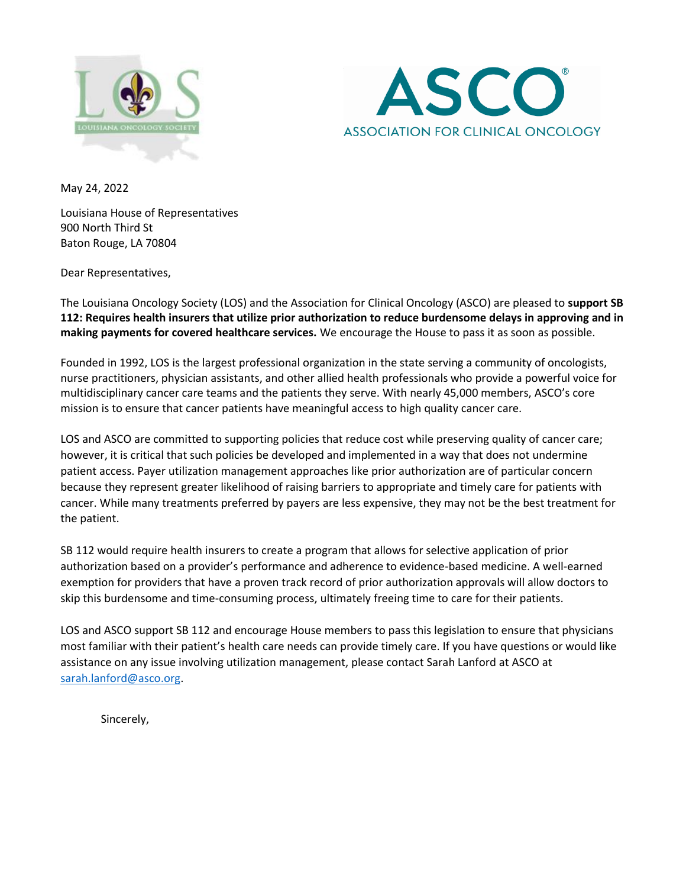



May 24, 2022

Louisiana House of Representatives 900 North Third St Baton Rouge, LA 70804

Dear Representatives,

The Louisiana Oncology Society (LOS) and the Association for Clinical Oncology (ASCO) are pleased to **support SB 112: Requires health insurers that utilize prior authorization to reduce burdensome delays in approving and in making payments for covered healthcare services.** We encourage the House to pass it as soon as possible.

Founded in 1992, LOS is the largest professional organization in the state serving a community of oncologists, nurse practitioners, physician assistants, and other allied health professionals who provide a powerful voice for multidisciplinary cancer care teams and the patients they serve. With nearly 45,000 members, ASCO's core mission is to ensure that cancer patients have meaningful access to high quality cancer care.

LOS and ASCO are committed to supporting policies that reduce cost while preserving quality of cancer care; however, it is critical that such policies be developed and implemented in a way that does not undermine patient access. Payer utilization management approaches like prior authorization are of particular concern because they represent greater likelihood of raising barriers to appropriate and timely care for patients with cancer. While many treatments preferred by payers are less expensive, they may not be the best treatment for the patient.

SB 112 would require health insurers to create a program that allows for selective application of prior authorization based on a provider's performance and adherence to evidence-based medicine. A well-earned exemption for providers that have a proven track record of prior authorization approvals will allow doctors to skip this burdensome and time-consuming process, ultimately freeing time to care for their patients.

LOS and ASCO support SB 112 and encourage House members to pass this legislation to ensure that physicians most familiar with their patient's health care needs can provide timely care. If you have questions or would like assistance on any issue involving utilization management, please contact Sarah Lanford at ASCO at [sarah.lanford@asco.org.](mailto:sarah.lanford@asco.org)

Sincerely,